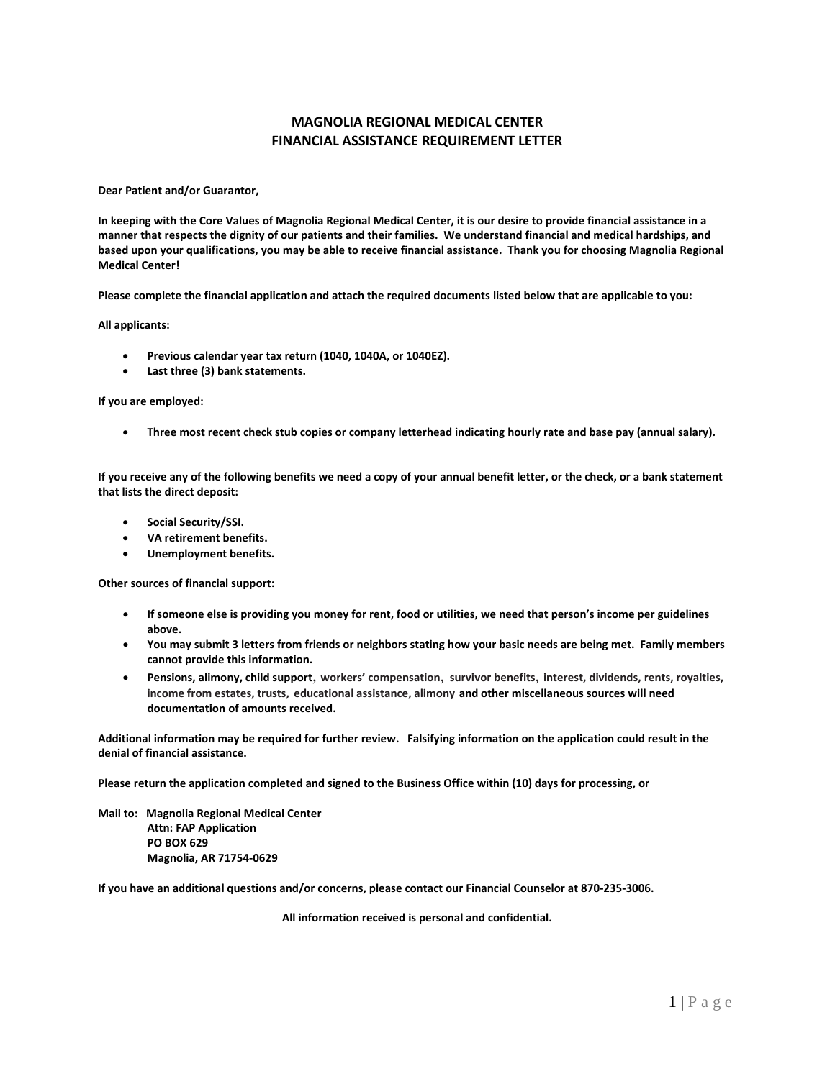## **MAGNOLIA REGIONAL MEDICAL CENTER FINANCIAL ASSISTANCE REQUIREMENT LETTER**

**Dear Patient and/or Guarantor,**

**In keeping with the Core Values of Magnolia Regional Medical Center, it is our desire to provide financial assistance in a manner that respects the dignity of our patients and their families. We understand financial and medical hardships, and based upon your qualifications, you may be able to receive financial assistance. Thank you for choosing Magnolia Regional Medical Center!**

**Please complete the financial application and attach the required documents listed below that are applicable to you:**

**All applicants:**

- **Previous calendar year tax return (1040, 1040A, or 1040EZ).**
- **Last three (3) bank statements.**

## **If you are employed:**

• **Three most recent check stub copies or company letterhead indicating hourly rate and base pay (annual salary).**

**If you receive any of the following benefits we need a copy of your annual benefit letter, or the check, or a bank statement that lists the direct deposit:**

- **Social Security/SSI.**
- **VA retirement benefits.**
- **Unemployment benefits.**

**Other sources of financial support:**

- **If someone else is providing you money for rent, food or utilities, we need that person's income per guidelines above.**
- **You may submit 3 letters from friends or neighbors stating how your basic needs are being met. Family members cannot provide this information.**
- **Pensions, alimony, child support**, **workers' compensation**, **survivor benefits**, **interest, dividends, rents, royalties, income from estates, trusts, educational assistance, alimony and other miscellaneous sources will need documentation of amounts received.**

**Additional information may be required for further review. Falsifying information on the application could result in the denial of financial assistance.**

**Please return the application completed and signed to the Business Office within (10) days for processing, or** 

**Mail to: Magnolia Regional Medical Center Attn: FAP Application PO BOX 629 Magnolia, AR 71754-0629**

**If you have an additional questions and/or concerns, please contact our Financial Counselor at 870-235-3006.**

**All information received is personal and confidential.**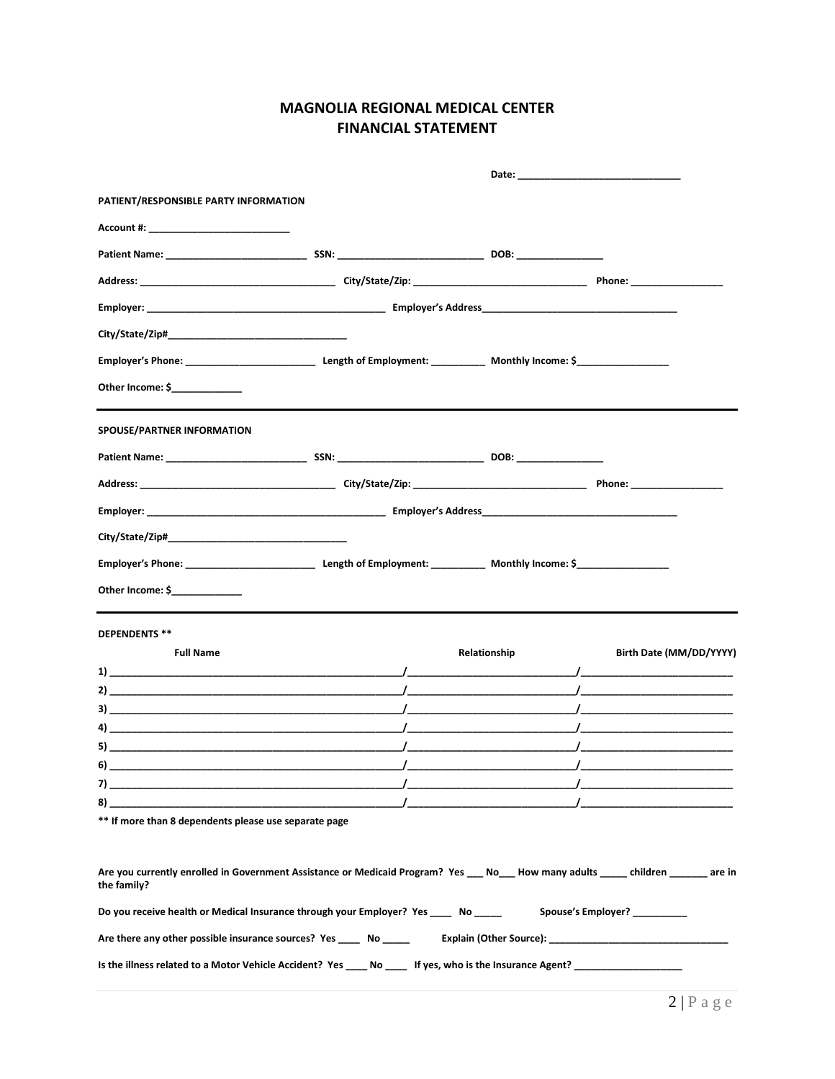## **MAGNOLIA REGIONAL MEDICAL CENTER FINANCIAL STATEMENT**

| PATIENT/RESPONSIBLE PARTY INFORMATION                                                                                                                                                                                                                                                                            |  |              |            |                                |  |
|------------------------------------------------------------------------------------------------------------------------------------------------------------------------------------------------------------------------------------------------------------------------------------------------------------------|--|--------------|------------|--------------------------------|--|
|                                                                                                                                                                                                                                                                                                                  |  |              |            |                                |  |
|                                                                                                                                                                                                                                                                                                                  |  |              |            |                                |  |
|                                                                                                                                                                                                                                                                                                                  |  |              |            |                                |  |
|                                                                                                                                                                                                                                                                                                                  |  |              |            |                                |  |
|                                                                                                                                                                                                                                                                                                                  |  |              |            |                                |  |
|                                                                                                                                                                                                                                                                                                                  |  |              |            |                                |  |
| Other Income: \$                                                                                                                                                                                                                                                                                                 |  |              |            |                                |  |
| SPOUSE/PARTNER INFORMATION                                                                                                                                                                                                                                                                                       |  |              |            |                                |  |
|                                                                                                                                                                                                                                                                                                                  |  |              |            |                                |  |
|                                                                                                                                                                                                                                                                                                                  |  |              |            |                                |  |
|                                                                                                                                                                                                                                                                                                                  |  |              |            |                                |  |
|                                                                                                                                                                                                                                                                                                                  |  |              |            |                                |  |
|                                                                                                                                                                                                                                                                                                                  |  |              |            |                                |  |
| Other Income: \$                                                                                                                                                                                                                                                                                                 |  |              |            |                                |  |
| <b>DEPENDENTS **</b>                                                                                                                                                                                                                                                                                             |  |              |            |                                |  |
| <b>Full Name</b>                                                                                                                                                                                                                                                                                                 |  | Relationship |            | Birth Date (MM/DD/YYYY)        |  |
|                                                                                                                                                                                                                                                                                                                  |  |              |            |                                |  |
| 2) and the contract of the contract of $\overline{a}$ and $\overline{a}$ and $\overline{a}$ and $\overline{a}$ and $\overline{a}$ and $\overline{a}$ and $\overline{a}$ and $\overline{a}$ and $\overline{a}$ and $\overline{a}$ and $\overline{a}$ and $\overline{a}$ and $\overline{a}$ and $\overline{a}$ and |  |              |            |                                |  |
| $\sqrt{2}$                                                                                                                                                                                                                                                                                                       |  |              |            |                                |  |
| $\lambda$ and the contract of the contract of the contract of the contract of the contract of the contract of the contract of the contract of the contract of the contract of the contract of the contract of the contract of the                                                                                |  |              |            |                                |  |
|                                                                                                                                                                                                                                                                                                                  |  |              |            |                                |  |
| 7)                                                                                                                                                                                                                                                                                                               |  |              | $\sqrt{2}$ |                                |  |
|                                                                                                                                                                                                                                                                                                                  |  |              |            |                                |  |
| ** If more than 8 dependents please use separate page                                                                                                                                                                                                                                                            |  |              |            |                                |  |
| Are you currently enrolled in Government Assistance or Medicaid Program? Yes __ No__ How many adults ____ children ______ are in<br>the family?                                                                                                                                                                  |  |              |            |                                |  |
| Do you receive health or Medical Insurance through your Employer? Yes _____ No _____                                                                                                                                                                                                                             |  |              |            | Spouse's Employer? ___________ |  |
|                                                                                                                                                                                                                                                                                                                  |  |              |            |                                |  |
| Is the illness related to a Motor Vehicle Accident? Yes ____ No ____ If yes, who is the Insurance Agent? _____________________________                                                                                                                                                                           |  |              |            |                                |  |